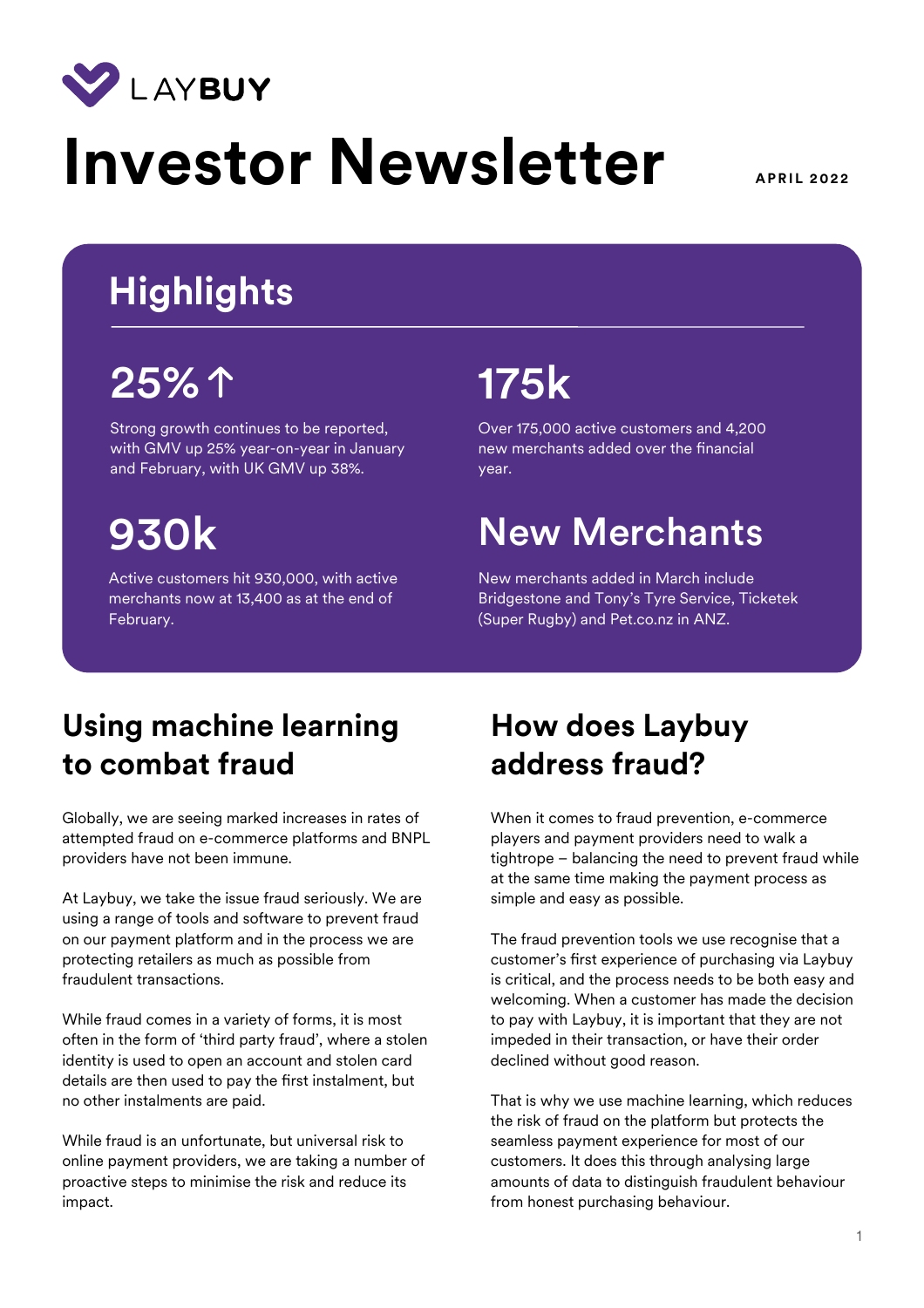

# **Investor Newsletter** APRIL 2022

# **Highlights**

# 25% 175k

Strong growth continues to be reported, with GMV up 25% year-on-year in January and February, with UK GMV up 38%.

Active customers hit 930,000, with active merchants now at 13,400 as at the end of February.

Over 175,000 active customers and 4,200 new merchants added over the fnancial year.

# 930k New Merchants

New merchants added in March include Bridgestone and Tony's Tyre Service, Ticketek (Super Rugby) and Pet.co.nz in ANZ.

### **Using machine learning to combat fraud**

Globally, we are seeing marked increases in rates of attempted fraud on e-commerce platforms and BNPL providers have not been immune.

At Laybuy, we take the issue fraud seriously. We are using a range of tools and software to prevent fraud on our payment platform and in the process we are protecting retailers as much as possible from fraudulent transactions.

While fraud comes in a variety of forms, it is most often in the form of 'third party fraud', where a stolen identity is used to open an account and stolen card details are then used to pay the frst instalment, but no other instalments are paid.

While fraud is an unfortunate, but universal risk to online payment providers, we are taking a number of proactive steps to minimise the risk and reduce its impact.

## **How does Laybuy address fraud?**

When it comes to fraud prevention, e-commerce players and payment providers need to walk a tightrope – balancing the need to prevent fraud while at the same time making the payment process as simple and easy as possible.

The fraud prevention tools we use recognise that a customer's frst experience of purchasing via Laybuy is critical, and the process needs to be both easy and welcoming. When a customer has made the decision to pay with Laybuy, it is important that they are not impeded in their transaction, or have their order declined without good reason.

That is why we use machine learning, which reduces the risk of fraud on the platform but protects the seamless payment experience for most of our customers. It does this through analysing large amounts of data to distinguish fraudulent behaviour from honest purchasing behaviour.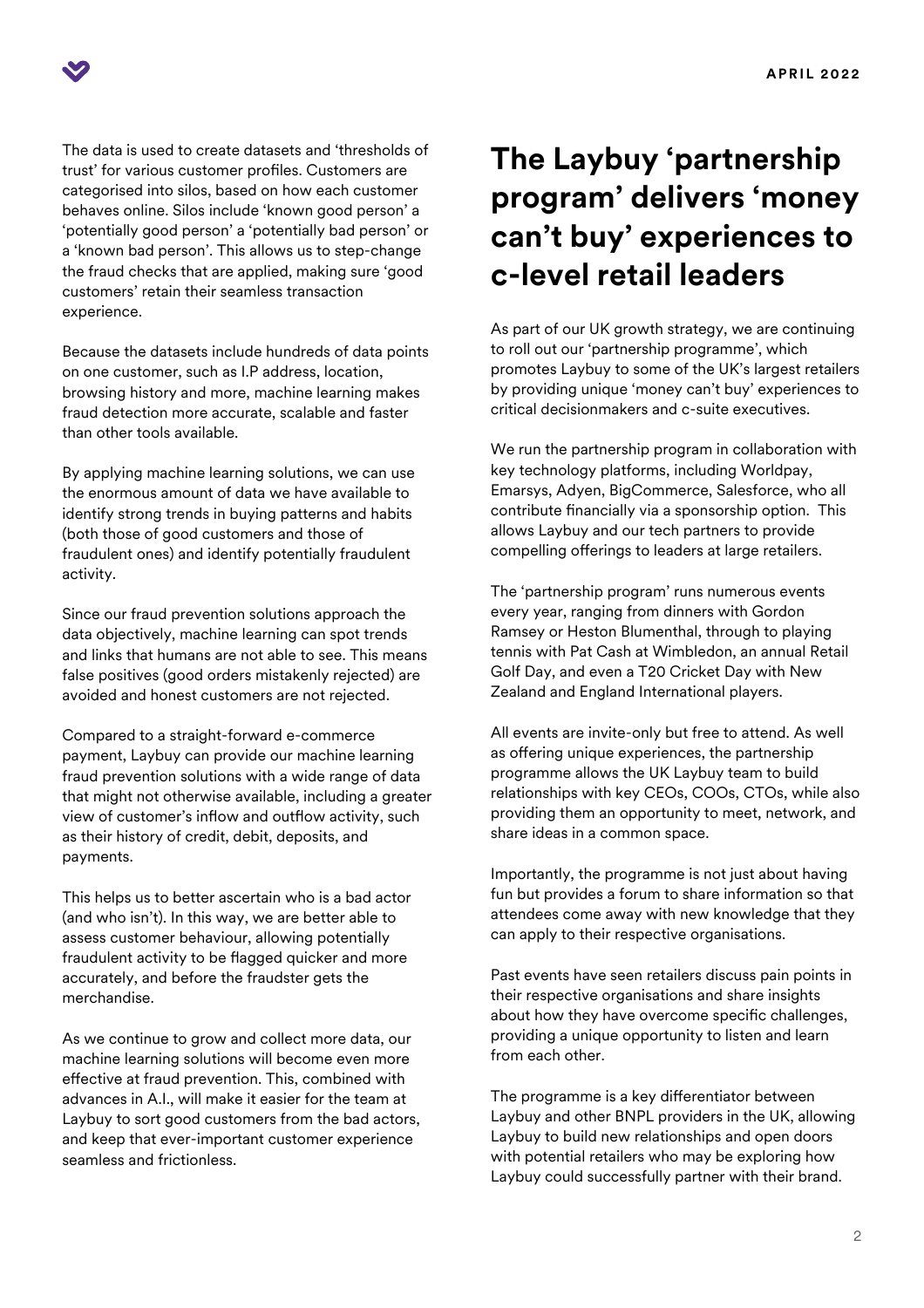

The data is used to create datasets and 'thresholds of trust' for various customer profles. Customers are categorised into silos, based on how each customer behaves online. Silos include 'known good person' a 'potentially good person' a 'potentially bad person' or a 'known bad person'. This allows us to step-change the fraud checks that are applied, making sure 'good customers' retain their seamless transaction experience.

Because the datasets include hundreds of data points on one customer, such as I.P address, location, browsing history and more, machine learning makes fraud detection more accurate, scalable and faster than other tools available.

By applying machine learning solutions, we can use the enormous amount of data we have available to identify strong trends in buying patterns and habits (both those of good customers and those of fraudulent ones) and identify potentially fraudulent activity.

Since our fraud prevention solutions approach the data objectively, machine learning can spot trends and links that humans are not able to see. This means false positives (good orders mistakenly rejected) are avoided and honest customers are not rejected.

Compared to a straight-forward e-commerce payment, Laybuy can provide our machine learning fraud prevention solutions with a wide range of data that might not otherwise available, including a greater view of customer's inflow and outflow activity, such as their history of credit, debit, deposits, and payments.

This helps us to better ascertain who is a bad actor (and who isn't). In this way, we are better able to assess customer behaviour, allowing potentially fraudulent activity to be fagged quicker and more accurately, and before the fraudster gets the merchandise.

As we continue to grow and collect more data, our machine learning solutions will become even more efective at fraud prevention. This, combined with advances in A.I., will make it easier for the team at Laybuy to sort good customers from the bad actors, and keep that ever-important customer experience seamless and frictionless.

### **The Laybuy 'partnership program' delivers 'money can't buy' experiences to c-level retail leaders**

As part of our UK growth strategy, we are continuing to roll out our 'partnership programme', which promotes Laybuy to some of the UK's largest retailers by providing unique 'money can't buy' experiences to critical decisionmakers and c-suite executives.

We run the partnership program in collaboration with key technology platforms, including Worldpay, Emarsys, Adyen, BigCommerce, Salesforce, who all contribute fnancially via a sponsorship option. This allows Laybuy and our tech partners to provide compelling offerings to leaders at large retailers.

The 'partnership program' runs numerous events every year, ranging from dinners with Gordon Ramsey or Heston Blumenthal, through to playing tennis with Pat Cash at Wimbledon, an annual Retail Golf Day, and even a T20 Cricket Day with New Zealand and England International players.

All events are invite-only but free to attend. As well as offering unique experiences, the partnership programme allows the UK Laybuy team to build relationships with key CEOs, COOs, CTOs, while also providing them an opportunity to meet, network, and share ideas in a common space.

Importantly, the programme is not just about having fun but provides a forum to share information so that attendees come away with new knowledge that they can apply to their respective organisations.

Past events have seen retailers discuss pain points in their respective organisations and share insights about how they have overcome specific challenges, providing a unique opportunity to listen and learn from each other.

The programme is a key diferentiator between Laybuy and other BNPL providers in the UK, allowing Laybuy to build new relationships and open doors with potential retailers who may be exploring how Laybuy could successfully partner with their brand.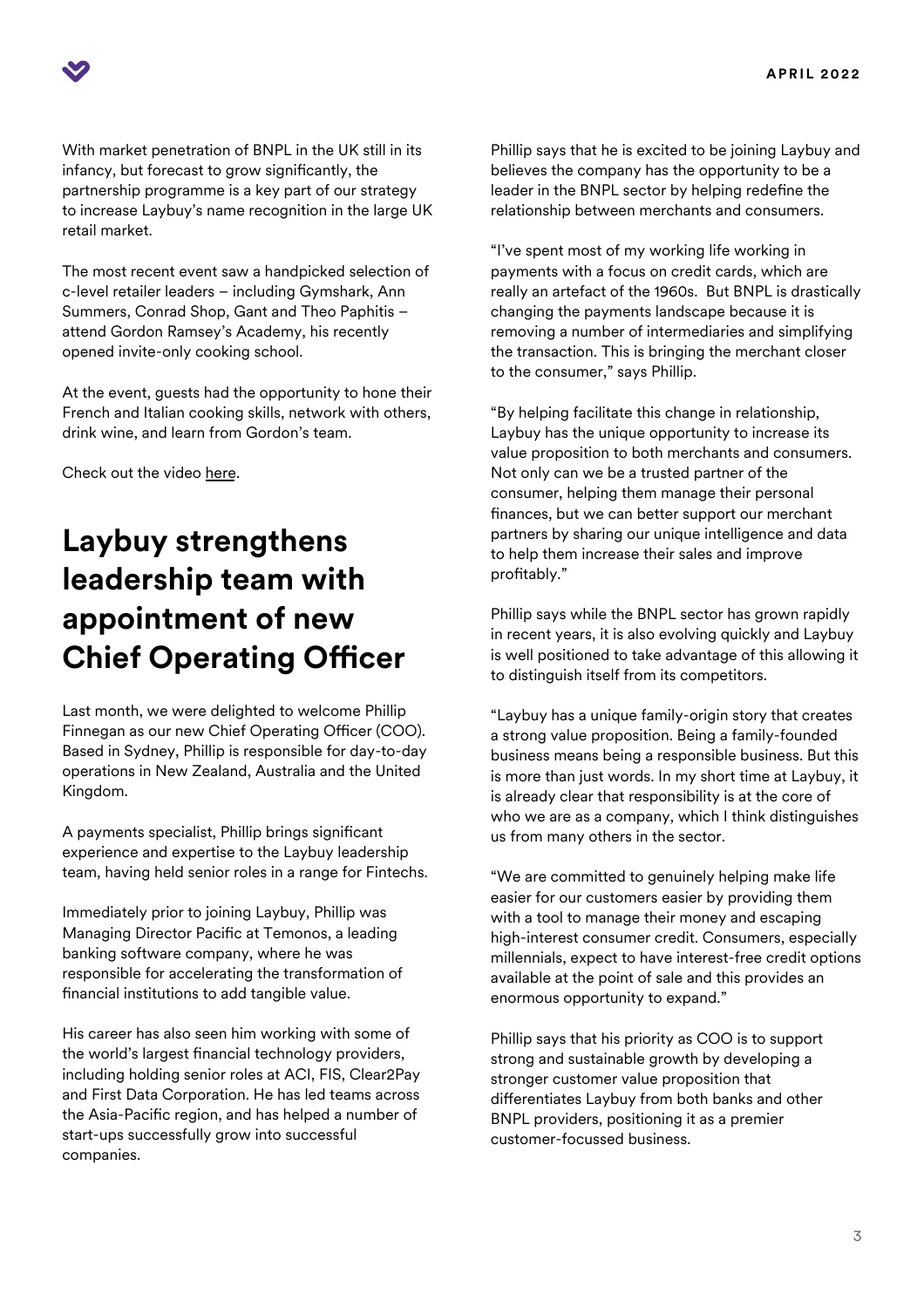With market penetration of BNPL in the UK still in its infancy, but forecast to grow signifcantly, the partnership programme is a key part of our strategy to increase Laybuy's name recognition in the large UK retail market.

The most recent event saw a handpicked selection of c-level retailer leaders – including Gymshark, Ann Summers, Conrad Shop, Gant and Theo Paphitis – attend Gordon Ramsey's Academy, his recently opened invite-only cooking school.

At the event, guests had the opportunity to hone their French and Italian cooking skills, network with others, drink wine, and learn from Gordon's team.

Check out the video [here.](https://www.youtube.com/watch?v=5YuguN6j5Ww)

### **Laybuy strengthens leadership team with appointment of new Chief Operating Officer**

Last month, we were delighted to welcome Phillip Finnegan as our new Chief Operating Officer (COO). Based in Sydney, Phillip is responsible for day-to-day operations in New Zealand, Australia and the United Kingdom.

A payments specialist, Phillip brings signifcant experience and expertise to the Laybuy leadership team, having held senior roles in a range for Fintechs.

Immediately prior to joining Laybuy, Phillip was Managing Director Pacifc at Temonos, a leading banking software company, where he was responsible for accelerating the transformation of fnancial institutions to add tangible value.

His career has also seen him working with some of the world's largest fnancial technology providers, including holding senior roles at ACI, FIS, Clear2Pay and First Data Corporation. He has led teams across the Asia-Pacific region, and has helped a number of start-ups successfully grow into successful companies.

Phillip says that he is excited to be joining Laybuy and believes the company has the opportunity to be a leader in the BNPL sector by helping redefne the relationship between merchants and consumers.

"I've spent most of my working life working in payments with a focus on credit cards, which are really an artefact of the 1960s. But BNPL is drastically changing the payments landscape because it is removing a number of intermediaries and simplifying the transaction. This is bringing the merchant closer to the consumer," says Phillip.

"By helping facilitate this change in relationship, Laybuy has the unique opportunity to increase its value proposition to both merchants and consumers. Not only can we be a trusted partner of the consumer, helping them manage their personal fnances, but we can better support our merchant partners by sharing our unique intelligence and data to help them increase their sales and improve profitably."

Phillip says while the BNPL sector has grown rapidly in recent years, it is also evolving quickly and Laybuy is well positioned to take advantage of this allowing it to distinguish itself from its competitors.

"Laybuy has a unique family-origin story that creates a strong value proposition. Being a family-founded business means being a responsible business. But this is more than just words. In my short time at Laybuy, it is already clear that responsibility is at the core of who we are as a company, which I think distinguishes us from many others in the sector.

"We are committed to genuinely helping make life easier for our customers easier by providing them with a tool to manage their money and escaping high-interest consumer credit. Consumers, especially millennials, expect to have interest-free credit options available at the point of sale and this provides an enormous opportunity to expand."

Phillip says that his priority as COO is to support strong and sustainable growth by developing a stronger customer value proposition that diferentiates Laybuy from both banks and other BNPL providers, positioning it as a premier customer-focussed business.